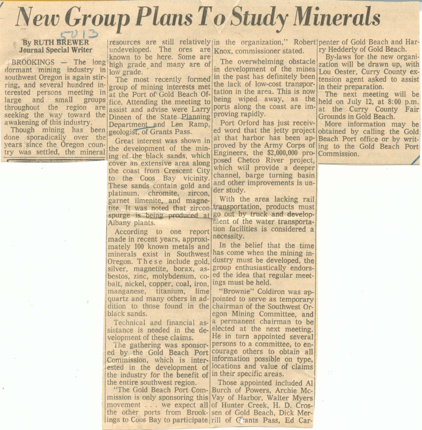## **New Group Plans To Study Minerals**

## **By RUTH BREWER Journal Special Writer**

dormant mining industry in low grade. southwest Oregon is again stirring, and several hundred interested persons meeting in large and small throughout the region are seeking the way toward the awakening of this industry.

Though mining has been done sporadically over the vears since the Oregon country was settled, the mineral

**Committee of the Committee** 

undeveloped. The ores are Knox, commissioner stated. known to be here. Some are BROOKINGS - The long high grade and many are of

> The most recently formed group of mining interests met at the Port of Gold Beach Ofgroups fice. Attending the meeting to assist and advise were Larry Dineen of the State Planning Department and Len Ramp. geologist, of Grants Pass.

> > Great interest was shown in the development of the mining of the black sands, which cover an extensive area along the coast from Crescent City to the Coos Bay vicinity. These sands contain gold and platinum, chromite, zircon, garnet ilmenite, and magnetite. It was noted that zircon spurge is being produced at go out by truck and develop-Albany plants.

> > According to one report made in recent years, approximately 100 known metals and minerals exist in Southwest Oregon. These include gold. silver, magnetite, borax, asbestos, zinc, molybdenum, cobalt, nickel, copper, coal, iron, manganese, titanium, lime quartz and many others in ad- pointed to serve as temporary dition to those found in the chairman of the Southwest Orblack sands.

sistance is needed in the development of these claims.

ed by the Gold Beach Port courage others to obtain all Commission, which is inter-linformation possible on type. ested in the development of locations and value of claims the industry for the benefit of in their specific areas. the entire southwest region.

mission is only sponsoring this Vay of Harbor, Walter Myers movement . . . we expect all of Hunter Creek, H. D. Crosthe other ports from Brook- sen of Gold Beach, Dick Merings to Coos Bay to participate rill of Gants Pass, Ed Car-

The overwhelming obstacle in development of the mines Lou Oester, Curry County exin the past has definitely been the lack of low-cost transportation in the area. This is now being wiped away, as the ports along the coast are improving rapidly.

Port Orford has just received word that the jetty project obtained by calling the Gold Engineers, the \$2,000,000 pro- Commission. posed Chetco River project, which will provide a deeper channel, barge turning basin and other improvements is under study.

With the area lacking rail transportation, products must ment of the water transportation facilities is considered a necessity.

In the belief that the time has come when the mining industry must be developed, the group enthusiastically endorsed the idea that regular meetings must be held.

"Brownie" Coldiron was anegon Mining Committee, and Technical and financial as- a permanent chairman to be elected at the next meeting. He in turn appointed several The gathering was sponsor-persons to a committee, to en-

Those appointed included Al "The Gold Beach Port Com- Burch of Powers, Archie Mc-

resources are still relatively in the organization." Robertleenter of Gold Beach and Harry Hedderly of Gold Beach.

> By-laws for the new organization will be drawn up, with tension agent asked to assist in their preparation.

The next meeting will be held on July 12, at 8:00 p.m. at the Curry County Fair Grounds in Gold Beach.

More information may be at that harbor has been ap- Beach Port office or by writproved by the Army Corps of ing to the Gold Beach Port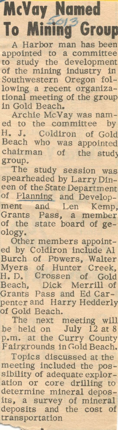## **McVay Named**

**To Mining Group** A Harbor man has been appointed to a committee to study the development of the mining industry in Southwestern Oregon following a recent organizational meeting of the group in Gold Beach.

Archie McVay was named to the committee by H. J. Coldiron of Gold Beach who was appointed chairman of the stud) group.

The study session was spearheaded by Larry Dineen of the State Department of Planning and Development and Len Kemp, Grants Pass, a member of the state board of geology.

Other members appointed by Coldiron include Al Burch of Powers, Walter Myers of Hunter Creek, H. D. Crossen of Gold Beach, Dick Merrill of Grants Pass and Ed Carpenter and Harry Hedderly of Gold Beach.

The next meeting will be held on July 12 at 8 p.m. at the Curry County Fairgrounds in Gold Beach.

Topics discussed at the meeting included the possibility of adequate exploration or core drilling to determine mineral deposits, a survey of mineral deposits and the cost of transportation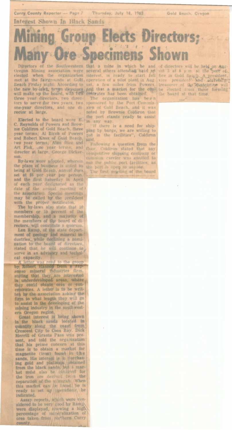Interest Shown In Black Sands

Curry County Reporter - Page 7

## Mining Group Elects Directors; **Many Ore Specimens Shown**

Thursday, July 18, 1963

inst a mine in which he and of directors will be held on Augusta cleared when the organization interest, is ready to start full fice in Gold Beach. A president met at the fairgrounds at Gold, operation of a pilot plant in rector at large.

Elected to the board were E. C. Reynolds of Powers and Brownie Coldiron of Gold Beach, three year terms; Al Birch of Powers<br>and Robert Knox of Gold Beach,<br>two year terms; Alan Bice and<br>Art Fisk, one year terms; and director at large, George Dickerson

By-laws were adopted, wherein the place of business is noted as the place of business is hold dues<br>being at Gold Beach, annual dues<br>set at \$5 per year per person.<br>and the first Saturday in April<br>of each year designated as the<br>date of the annual meeting of the association. Special meetings may be called by the president with the proper notificaton

The by-laws also state that 10<br>members or 10 percent of the<br>membership, and a majority of<br>the members of the board of directors, will constitute a quorum.

Len Ramp, of the state department of geology and mineral industries, while declining a nomination to the board of directors,<br>stated that he will continue to serve in an advisory and technical capacity.

end to the gr by Robert Hannon from a Japanese mineral mdustries firm stating that they are interested<br>in underdeveloped areas, where<br>they could obtain ores or concentrates. A letter is to be written by the association asking the firm to what length they will go to assist in the developing of the<br>mining industry in the southwestern Oregon region.

Great interest is being shown<br>in the black sands located in quantity along the coast from Merrill of Grants Pass was present, and told the organization<br>that his prime concern at this<br>time is to obtain a market for<br>sands. His interest is a surchase sanos, his merest is a surenas-<br>ing gold and platinum obtained<br>from the black sands, but a mar-<br>ket must also be *putained* for<br>the iron ore derived from the<br>eparation of the *pinerals*. When<br>this marked can be found, he i ready to set up / perations he indicated.

Assay reports, which were considered to be very good by Ramp, were displayed, showing a high<br>percentage of mineralization of<br>ores taken from northern Curry county.

sponsored by the Port Commission of Gold Beach, and it was the port stands ready to assist

in any way.<br>"If there is a need for shipping by barge, we are willing to<br>put in the facilities", Coldiron said.

Following a question from the floor, Coldiron stated that any competitive shipping company or<br>common carrier was entitled to use the public port facilities, as<br>the port is open to anyone.

The first marting of the board

Gold Beach, Oregon